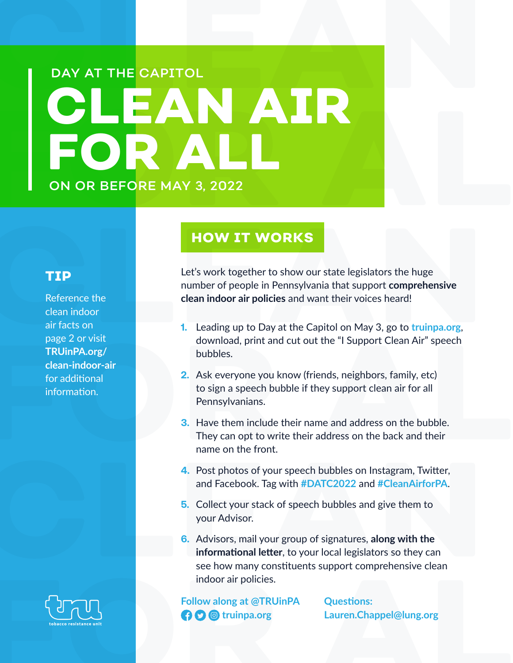# **CLEAN AIR FOR ALL CLEAN AIR FOR ALL** ON OR BEFORE MAY 3, 2022 DAY AT THE CAPITOL

#### **HOW IT WORKS**

**CONSTRANT AND THE MORKS**<br> **CEPTIP**<br>
Let's work together to show our state legislators the huge<br>
number of people in Pennsylvania that support comprehensive<br>
clean indoor<br>
air facts on<br>
air facts on<br>
page 2 or visit<br> **CLEA** Let's work together to show our state legislators the huge number of people in Pennsylvania that support **comprehensive clean indoor air policies** and want their voices heard!

- **1.** Leading up to Day at the Capitol on May 3, go to **truinpa.org**, download, print and cut out the "I Support Clean Air" speech bubbles.
- **2.** Ask everyone you know (friends, neighbors, family, etc) to sign a speech bubble if they support clean air for all Pennsylvanians.
- page 2 or visit<br> **FRUinPA.org/**<br> **FRUinPA.org/**<br> **Examples** the subbles.<br> **FRUINPA.org/**<br> **FRUINPA.org/**<br> **FRUINPA.org/**<br> **FRUINPA.org/**<br> **FRUINPA.org/**<br> **FRUINPA.org/**<br> **FRUINPA.org/**<br> **FRUINPA.org/**<br> **FRUINTER.**<br> **FRUINT 3.** Have them include their name and address on the bubble. They can opt to write their address on the back and their name on the front.
	- **4.** Post photos of your speech bubbles on Instagram, Twitter, and Facebook. Tag with **#DATC2022** and **#CleanAirforPA**.
	- **5.** Collect your stack of speech bubbles and give them to your Advisor.
- **4.** Post photos of your speech bubbles on Instagram, Twitter,<br>and Facebook. Tag with #DATC2022 and #CleanAirforPA.<br>5. Collect your stack of speech bubbles and give them to<br>your Advisor.<br>6. Advisors, mail your group of sig **Follow along at @T[R](http://truinpa.org)UinPA**<br> **Questions:**<br> **CO @** truinpa.org<br> **Lauren.Chappel@lung.org**<br> **Lauren.Chappel@lung.org 6.** Advisors, mail your group of signatures, **along with the informational letter**, to your local legislators so they can see how many constituents support comprehensive clean indoor air policies.

**Follow along at @TRUinPA the C d** truinpa.org

**Questions: Lauren.Chappel@lung.org**

#### **TIP**

Reference the clean indoor air facts on page 2 or visit **TRUinPA.org/ clean-indoor-air** for additional information.

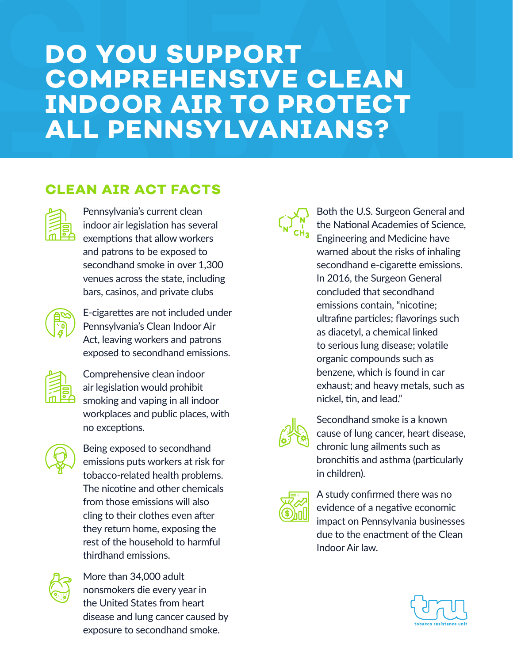## **DO YOU SUPPORT COMPREHENSIVE CLEAN INDOOR AIR TO PROTECT ALL PENNSYLVANIANS?**

### **CLEAN AIR ACT FACTS**



Pennsylvania's current clean indoor air legislation has several exemptions that allow workers and patrons to be exposed to secondhand smoke in over 1,300 venues across the state, including bars, casinos, and private clubs



E-cigarettes are not included under Pennsylvania's Clean Indoor Air Act, leaving workers and patrons exposed to secondhand emissions.



Comprehensive clean indoor air legislation would prohibit smoking and vaping in all indoor workplaces and public places, with no exceptions.



Being exposed to secondhand emissions puts workers at risk for tobacco-related health problems. The nicotine and other chemicals from those emissions will also cling to their clothes even after they return home, exposing the rest of the household to harmful thirdhand emissions.



More than 34,000 adult nonsmokers die every year in the United States from heart disease and lung cancer caused by exposure to secondhand smoke.



Both the U.S. Surgeon General and the National Academies of Science, Engineering and Medicine have warned about the risks of inhaling secondhand e-cigarette emissions. In 2016, the Surgeon General concluded that secondhand emissions contain, "nicotine; ultrafine particles; flavorings such as diacetyl, a chemical linked to serious lung disease; volatile organic compounds such as benzene, which is found in car exhaust; and heavy metals, such as nickel, tin, and lead."



Secondhand smoke is a known cause of lung cancer, heart disease, chronic lung ailments such as bronchitis and asthma (particularly in children).



A study confirmed there was no evidence of a negative economic impact on Pennsylvania businesses due to the enactment of the Clean Indoor Air law.